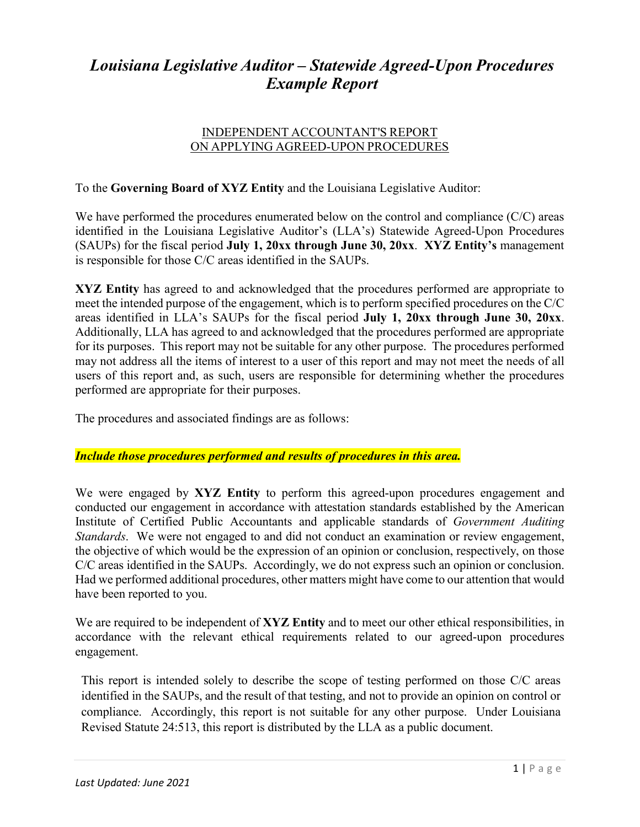# *Louisiana Legislative Auditor – Statewide Agreed-Upon Procedures Example Report*

#### INDEPENDENT ACCOUNTANT'S REPORT ON APPLYING AGREED-UPON PROCEDURES

### To the **Governing Board of XYZ Entity** and the Louisiana Legislative Auditor:

We have performed the procedures enumerated below on the control and compliance (C/C) areas identified in the Louisiana Legislative Auditor's (LLA's) Statewide Agreed-Upon Procedures (SAUPs) for the fiscal period **July 1, 20xx through June 30, 20xx**. **XYZ Entity's** management is responsible for those C/C areas identified in the SAUPs.

**XYZ Entity** has agreed to and acknowledged that the procedures performed are appropriate to meet the intended purpose of the engagement, which is to perform specified procedures on the C/C areas identified in LLA's SAUPs for the fiscal period **July 1, 20xx through June 30, 20xx**. Additionally, LLA has agreed to and acknowledged that the procedures performed are appropriate for its purposes. This report may not be suitable for any other purpose. The procedures performed may not address all the items of interest to a user of this report and may not meet the needs of all users of this report and, as such, users are responsible for determining whether the procedures performed are appropriate for their purposes.

The procedures and associated findings are as follows:

### *Include those procedures performed and results of procedures in this area.*

We were engaged by **XYZ Entity** to perform this agreed-upon procedures engagement and conducted our engagement in accordance with attestation standards established by the American Institute of Certified Public Accountants and applicable standards of *Government Auditing Standards*. We were not engaged to and did not conduct an examination or review engagement, the objective of which would be the expression of an opinion or conclusion, respectively, on those C/C areas identified in the SAUPs. Accordingly, we do not express such an opinion or conclusion. Had we performed additional procedures, other matters might have come to our attention that would have been reported to you.

We are required to be independent of **XYZ Entity** and to meet our other ethical responsibilities, in accordance with the relevant ethical requirements related to our agreed-upon procedures engagement.

This report is intended solely to describe the scope of testing performed on those C/C areas identified in the SAUPs, and the result of that testing, and not to provide an opinion on control or compliance. Accordingly, this report is not suitable for any other purpose. Under Louisiana Revised Statute 24:513, this report is distributed by the LLA as a public document.